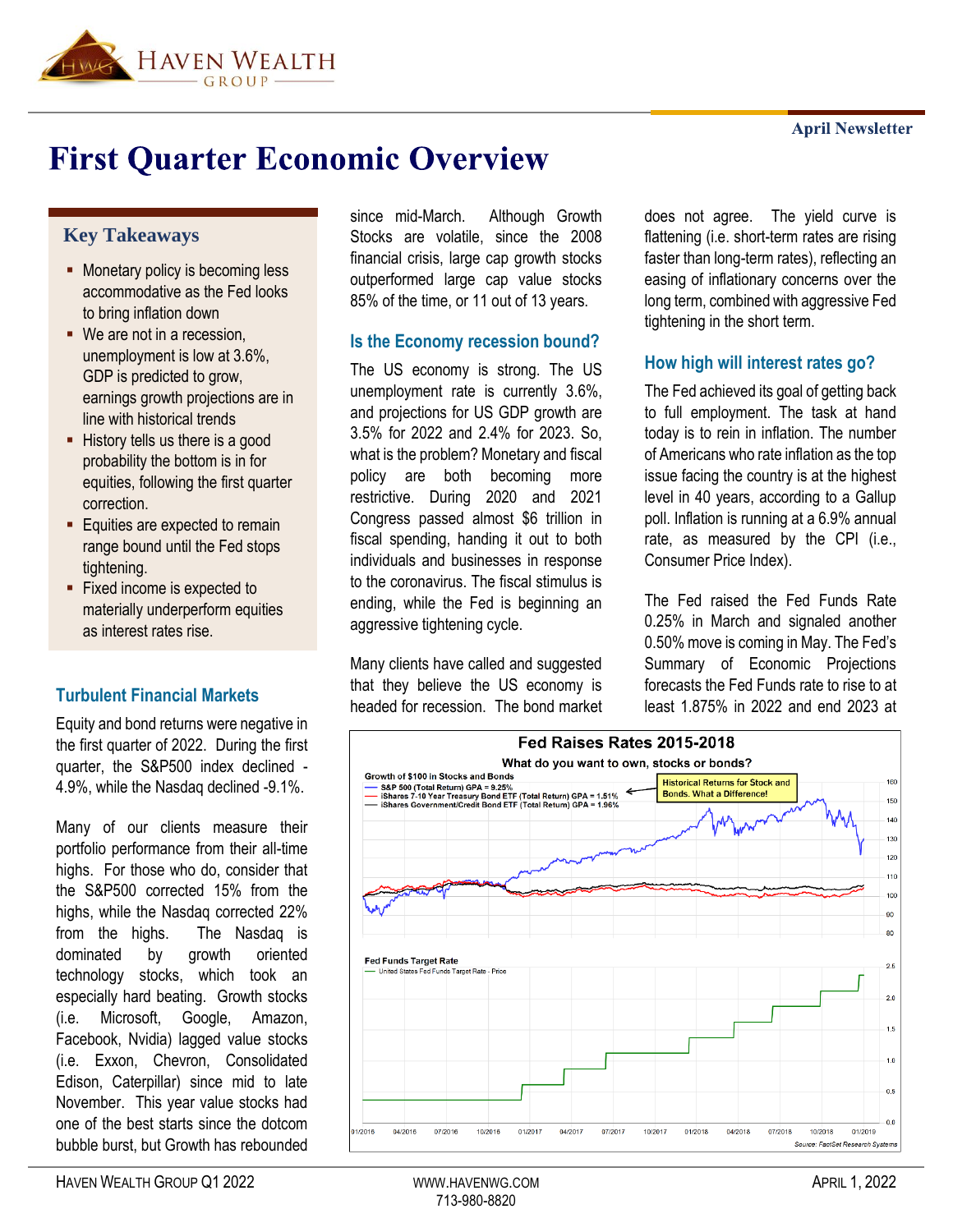

# **First Quarter Economic Overview**

#### **Key Takeaways**

- **■** Monetary policy is becoming less accommodative as the Fed looks to bring inflation down
- We are not in a recession, unemployment is low at 3.6%, GDP is predicted to grow, earnings growth projections are in line with historical trends
- **EXECUTE:** History tells us there is a good probability the bottom is in for equities, following the first quarter correction.
- **Equities are expected to remain** range bound until the Fed stops tightening.
- Fixed income is expected to materially underperform equities as interest rates rise.

## **Turbulent Financial Markets**

Equity and bond returns were negative in the first quarter of 2022. During the first quarter, the S&P500 index declined - 4.9%, while the Nasdaq declined -9.1%.

Many of our clients measure their portfolio performance from their all-time highs. For those who do, consider that the S&P500 corrected 15% from the highs, while the Nasdaq corrected 22% from the highs. The Nasdaq is dominated by growth oriented technology stocks, which took an especially hard beating. Growth stocks (i.e. Microsoft, Google, Amazon, Facebook, Nvidia) lagged value stocks (i.e. Exxon, Chevron, Consolidated Edison, Caterpillar) since mid to late November. This year value stocks had one of the best starts since the dotcom bubble burst, but Growth has rebounded

since mid-March. Although Growth Stocks are volatile, since the 2008 financial crisis, large cap growth stocks outperformed large cap value stocks 85% of the time, or 11 out of 13 years.

#### **Is the Economy recession bound?**

The US economy is strong. The US unemployment rate is currently 3.6%, and projections for US GDP growth are 3.5% for 2022 and 2.4% for 2023. So, what is the problem? Monetary and fiscal policy are both becoming more restrictive. During 2020 and 2021 Congress passed almost \$6 trillion in fiscal spending, handing it out to both individuals and businesses in response to the coronavirus. The fiscal stimulus is ending, while the Fed is beginning an aggressive tightening cycle.

Many clients have called and suggested that they believe the US economy is headed for recession. The bond market does not agree. The yield curve is flattening (i.e. short-term rates are rising faster than long-term rates), reflecting an easing of inflationary concerns over the long term, combined with aggressive Fed tightening in the short term.

#### **How high will interest rates go?**

The Fed achieved its goal of getting back to full employment. The task at hand today is to rein in inflation. The number of Americans who rate inflation as the top issue facing the country is at the highest level in 40 years, according to a Gallup poll. Inflation is running at a 6.9% annual rate, as measured by the CPI (i.e., Consumer Price Index).

The Fed raised the Fed Funds Rate 0.25% in March and signaled another 0.50% move is coming in May. The Fed's Summary of Economic Projections forecasts the Fed Funds rate to rise to at least 1.875% in 2022 and end 2023 at

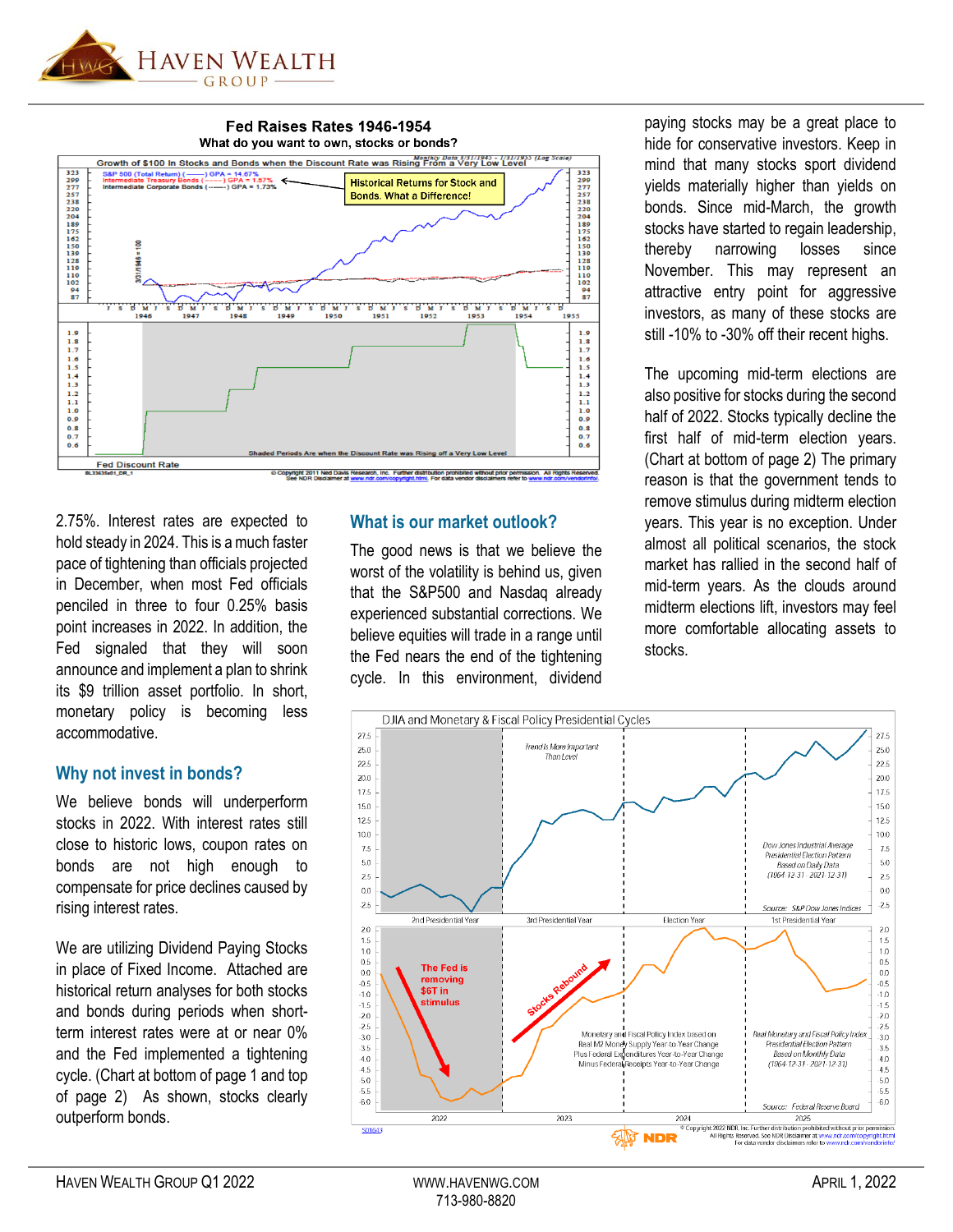

Fed Raises Rates 1946-1954



2.75%. Interest rates are expected to hold steady in 2024. This is a much faster pace of tightening than officials projected in December, when most Fed officials penciled in three to four 0.25% basis point increases in 2022. In addition, the Fed signaled that they will soon announce and implement a plan to shrink its \$9 trillion asset portfolio. In short, monetary policy is becoming less accommodative.

#### **Why not invest in bonds?**

We believe bonds will underperform stocks in 2022. With interest rates still close to historic lows, coupon rates on bonds are not high enough to compensate for price declines caused by rising interest rates.

We are utilizing Dividend Paying Stocks in place of Fixed Income. Attached are historical return analyses for both stocks and bonds during periods when shortterm interest rates were at or near 0% and the Fed implemented a tightening cycle. (Chart at bottom of page 1 and top of page 2) As shown, stocks clearly outperform bonds.

#### **What is our market outlook?**

The good news is that we believe the worst of the volatility is behind us, given that the S&P500 and Nasdaq already experienced substantial corrections. We believe equities will trade in a range until the Fed nears the end of the tightening cycle. In this environment, dividend paying stocks may be a great place to hide for conservative investors. Keep in mind that many stocks sport dividend yields materially higher than yields on bonds. Since mid-March, the growth stocks have started to regain leadership, thereby narrowing losses since November. This may represent an attractive entry point for aggressive investors, as many of these stocks are still -10% to -30% off their recent highs.

The upcoming mid-term elections are also positive for stocks during the second half of 2022. Stocks typically decline the first half of mid-term election years. (Chart at bottom of page 2) The primary reason is that the government tends to remove stimulus during midterm election years. This year is no exception. Under almost all political scenarios, the stock market has rallied in the second half of mid-term years. As the clouds around midterm elections lift, investors may feel more comfortable allocating assets to stocks.